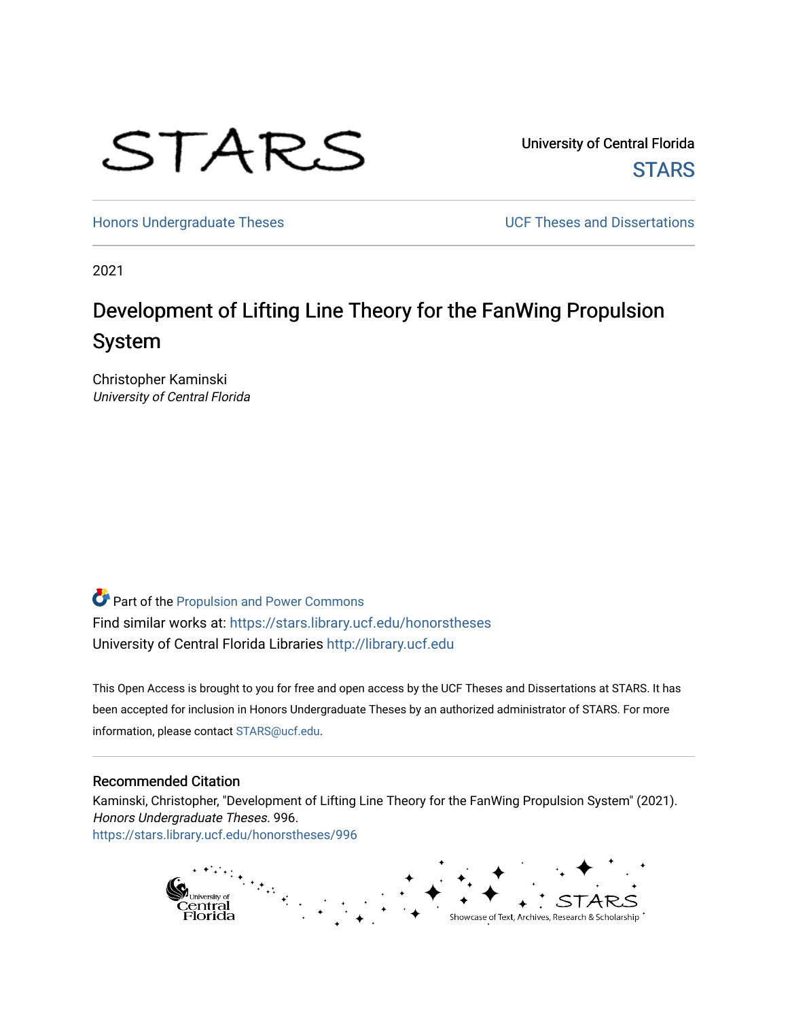

University of Central Florida **STARS** 

[Honors Undergraduate Theses](https://stars.library.ucf.edu/honorstheses) **No. 2018** UCF Theses and Dissertations

2021

# Development of Lifting Line Theory for the FanWing Propulsion System

Christopher Kaminski University of Central Florida

Part of the [Propulsion and Power Commons](http://network.bepress.com/hgg/discipline/225?utm_source=stars.library.ucf.edu%2Fhonorstheses%2F996&utm_medium=PDF&utm_campaign=PDFCoverPages) Find similar works at: <https://stars.library.ucf.edu/honorstheses> University of Central Florida Libraries [http://library.ucf.edu](http://library.ucf.edu/) 

This Open Access is brought to you for free and open access by the UCF Theses and Dissertations at STARS. It has been accepted for inclusion in Honors Undergraduate Theses by an authorized administrator of STARS. For more information, please contact [STARS@ucf.edu.](mailto:STARS@ucf.edu)

#### Recommended Citation

Kaminski, Christopher, "Development of Lifting Line Theory for the FanWing Propulsion System" (2021). Honors Undergraduate Theses. 996. [https://stars.library.ucf.edu/honorstheses/996](https://stars.library.ucf.edu/honorstheses/996?utm_source=stars.library.ucf.edu%2Fhonorstheses%2F996&utm_medium=PDF&utm_campaign=PDFCoverPages) 

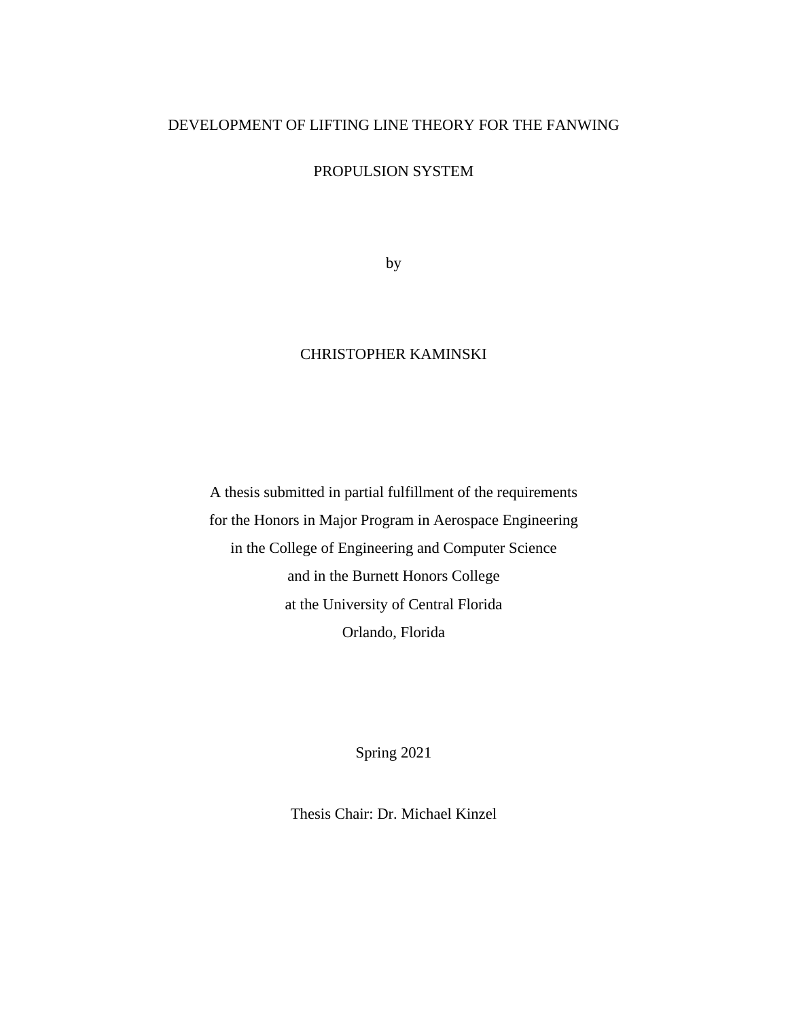# DEVELOPMENT OF LIFTING LINE THEORY FOR THE FANWING

PROPULSION SYSTEM

by

# CHRISTOPHER KAMINSKI

A thesis submitted in partial fulfillment of the requirements for the Honors in Major Program in Aerospace Engineering in the College of Engineering and Computer Science and in the Burnett Honors College at the University of Central Florida Orlando, Florida

Spring 2021

Thesis Chair: Dr. Michael Kinzel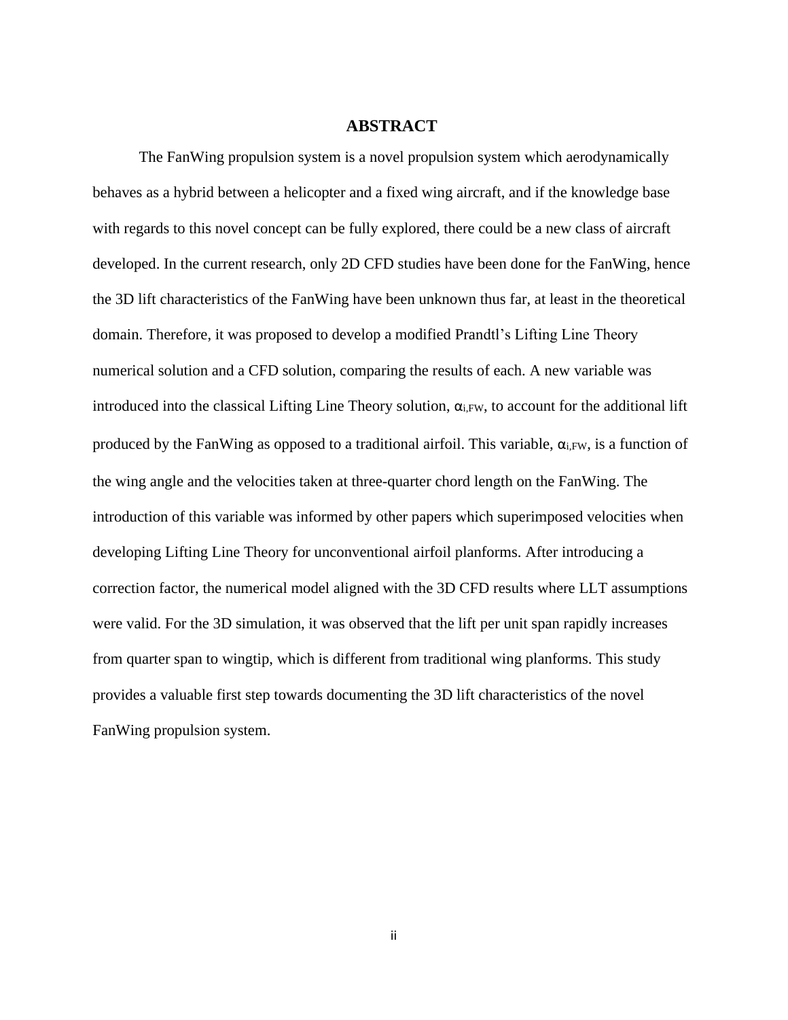#### **ABSTRACT**

The FanWing propulsion system is a novel propulsion system which aerodynamically behaves as a hybrid between a helicopter and a fixed wing aircraft, and if the knowledge base with regards to this novel concept can be fully explored, there could be a new class of aircraft developed. In the current research, only 2D CFD studies have been done for the FanWing, hence the 3D lift characteristics of the FanWing have been unknown thus far, at least in the theoretical domain. Therefore, it was proposed to develop a modified Prandtl's Lifting Line Theory numerical solution and a CFD solution, comparing the results of each. A new variable was introduced into the classical Lifting Line Theory solution, αi,FW, to account for the additional lift produced by the FanWing as opposed to a traditional airfoil. This variable,  $\alpha_{i,FW}$ , is a function of the wing angle and the velocities taken at three-quarter chord length on the FanWing. The introduction of this variable was informed by other papers which superimposed velocities when developing Lifting Line Theory for unconventional airfoil planforms. After introducing a correction factor, the numerical model aligned with the 3D CFD results where LLT assumptions were valid. For the 3D simulation, it was observed that the lift per unit span rapidly increases from quarter span to wingtip, which is different from traditional wing planforms. This study provides a valuable first step towards documenting the 3D lift characteristics of the novel FanWing propulsion system.

ii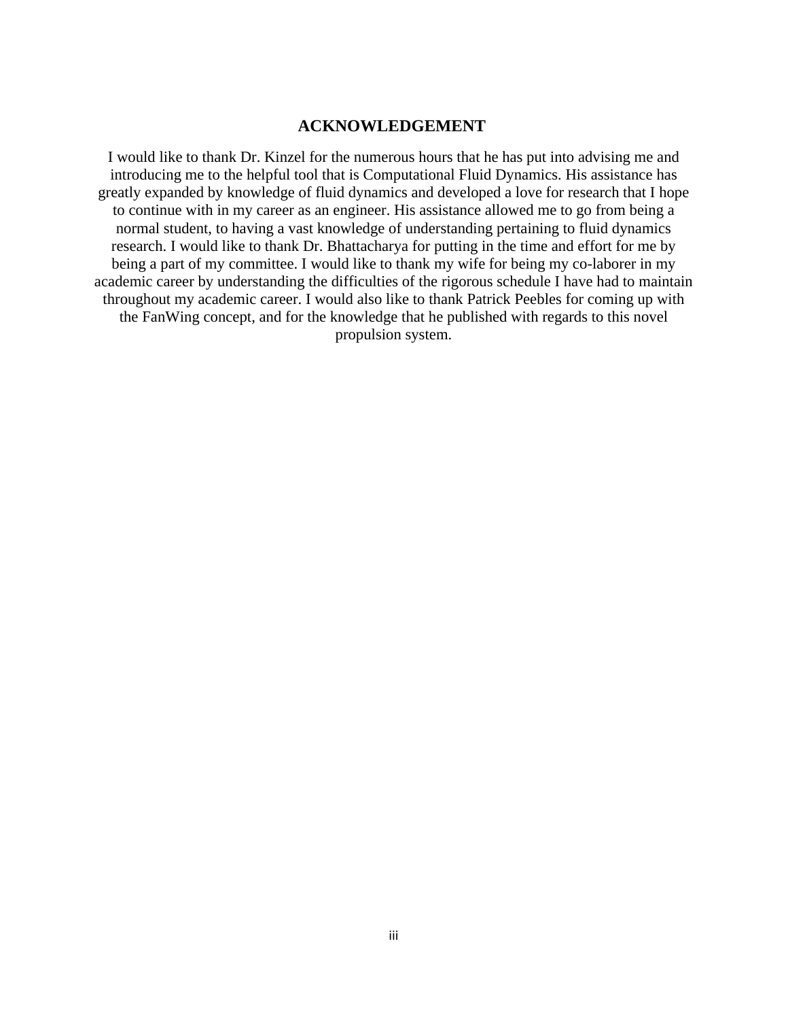#### **ACKNOWLEDGEMENT**

I would like to thank Dr. Kinzel for the numerous hours that he has put into advising me and introducing me to the helpful tool that is Computational Fluid Dynamics. His assistance has greatly expanded by knowledge of fluid dynamics and developed a love for research that I hope to continue with in my career as an engineer. His assistance allowed me to go from being a normal student, to having a vast knowledge of understanding pertaining to fluid dynamics research. I would like to thank Dr. Bhattacharya for putting in the time and effort for me by being a part of my committee. I would like to thank my wife for being my co-laborer in my academic career by understanding the difficulties of the rigorous schedule I have had to maintain throughout my academic career. I would also like to thank Patrick Peebles for coming up with the FanWing concept, and for the knowledge that he published with regards to this novel propulsion system.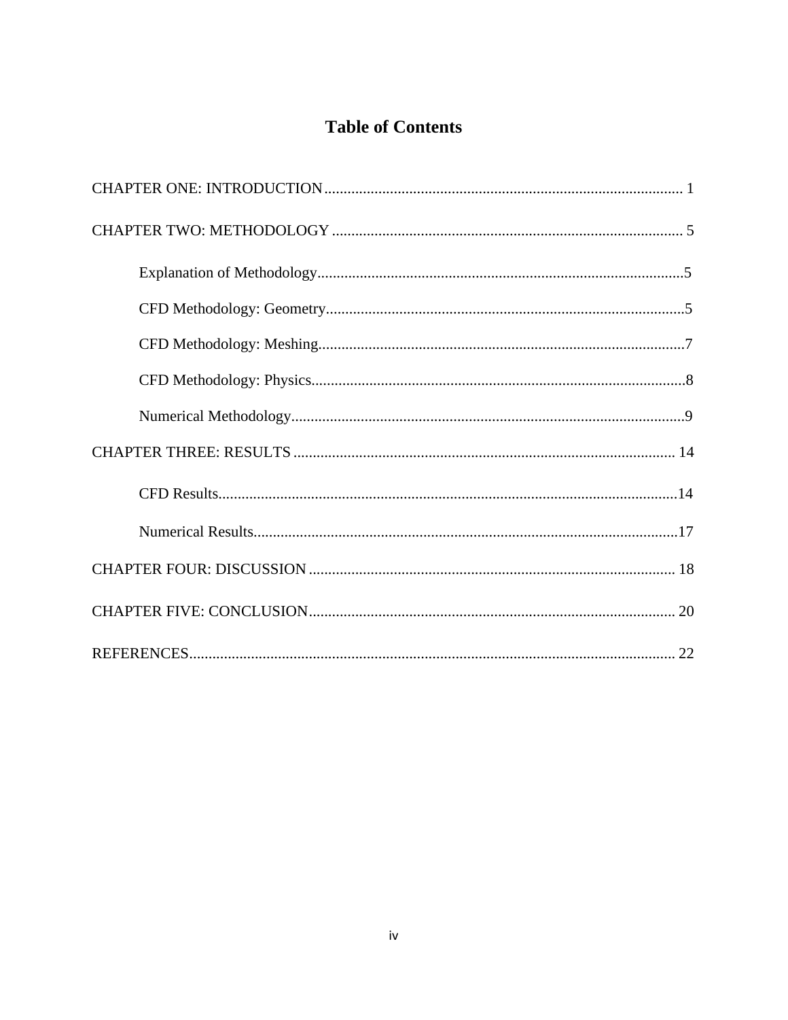# **Table of Contents**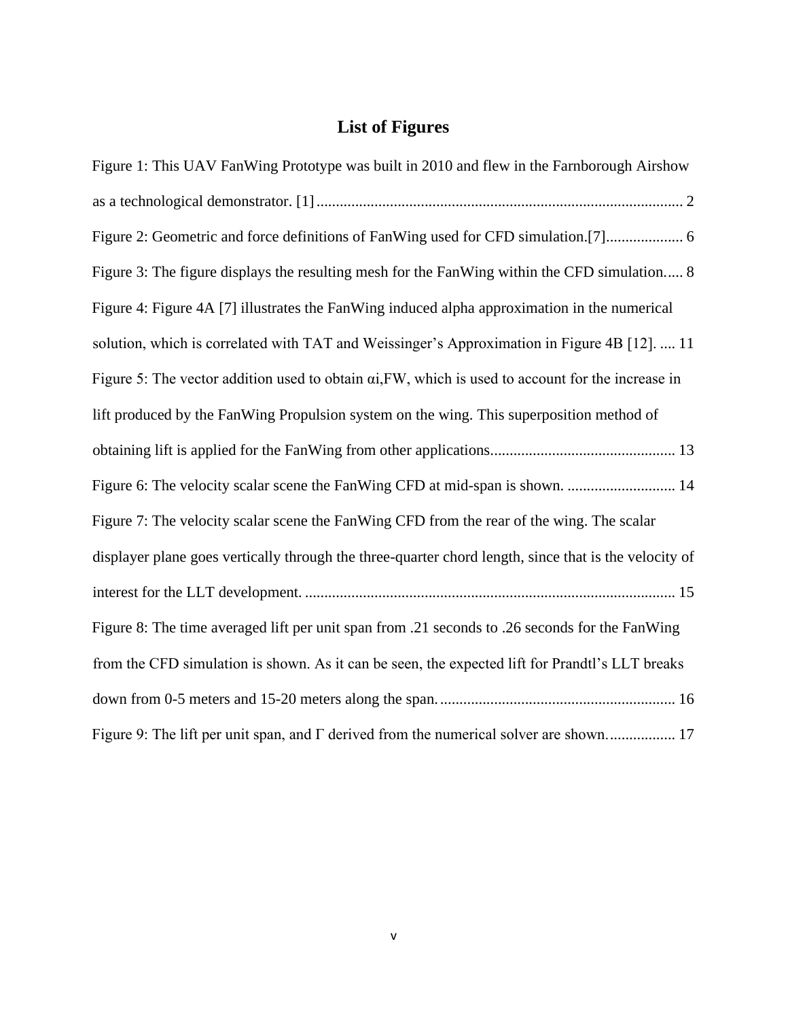# **List of Figures**

| Figure 1: This UAV FanWing Prototype was built in 2010 and flew in the Farnborough Airshow                 |
|------------------------------------------------------------------------------------------------------------|
|                                                                                                            |
| Figure 2: Geometric and force definitions of FanWing used for CFD simulation.[7] 6                         |
| Figure 3: The figure displays the resulting mesh for the FanWing within the CFD simulation 8               |
| Figure 4: Figure 4A [7] illustrates the FanWing induced alpha approximation in the numerical               |
| solution, which is correlated with TAT and Weissinger's Approximation in Figure 4B [12].  11               |
| Figure 5: The vector addition used to obtain $\alpha i$ , FW, which is used to account for the increase in |
| lift produced by the FanWing Propulsion system on the wing. This superposition method of                   |
|                                                                                                            |
| Figure 6: The velocity scalar scene the FanWing CFD at mid-span is shown.  14                              |
| Figure 7: The velocity scalar scene the FanWing CFD from the rear of the wing. The scalar                  |
| displayer plane goes vertically through the three-quarter chord length, since that is the velocity of      |
|                                                                                                            |
| Figure 8: The time averaged lift per unit span from .21 seconds to .26 seconds for the FanWing             |
| from the CFD simulation is shown. As it can be seen, the expected lift for Prandtl's LLT breaks            |
|                                                                                                            |
| Figure 9: The lift per unit span, and $\Gamma$ derived from the numerical solver are shown 17              |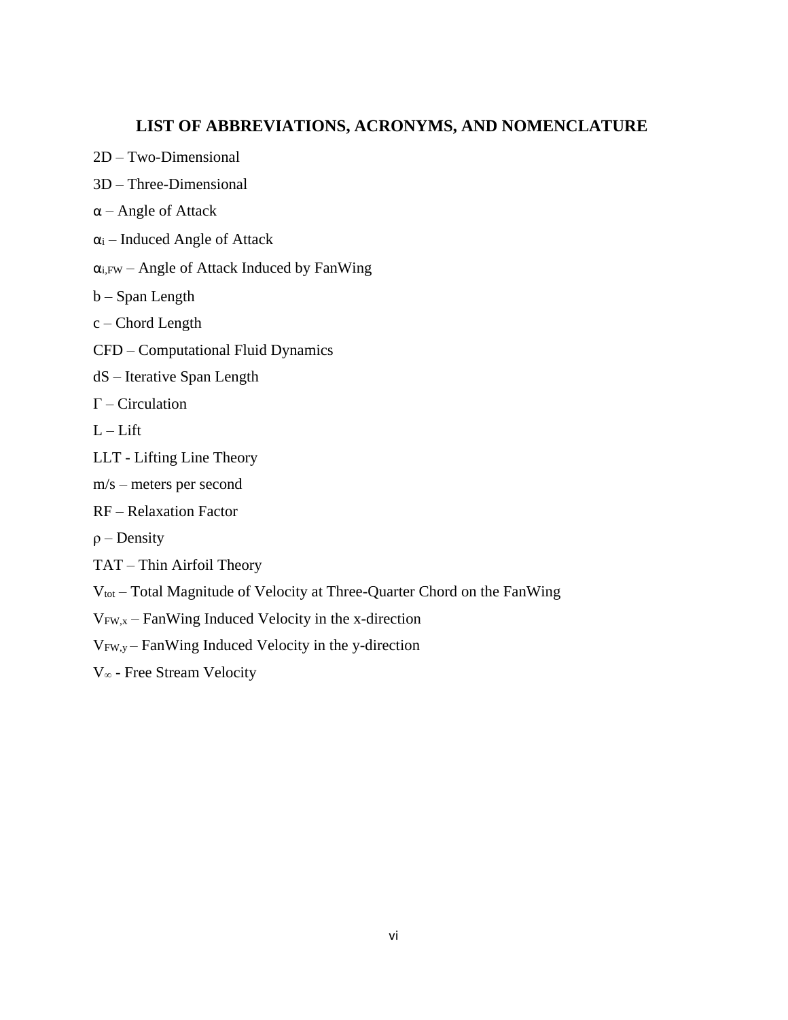# **LIST OF ABBREVIATIONS, ACRONYMS, AND NOMENCLATURE**

- 2D Two-Dimensional
- 3D Three-Dimensional
- α Angle of Attack
- $\alpha$ i Induced Angle of Attack
- $\alpha_{i,FW}$  Angle of Attack Induced by FanWing
- b Span Length
- c Chord Length
- CFD Computational Fluid Dynamics
- dS Iterative Span Length
- Γ Circulation
- $L Lift$
- LLT Lifting Line Theory
- m/s meters per second
- RF Relaxation Factor
- $\rho$  Density
- TAT Thin Airfoil Theory
- Vtot Total Magnitude of Velocity at Three-Quarter Chord on the FanWing
- $V_{FW, x}$  FanWing Induced Velocity in the x-direction

VFW,y – FanWing Induced Velocity in the y-direction

V<sup>∞</sup> - Free Stream Velocity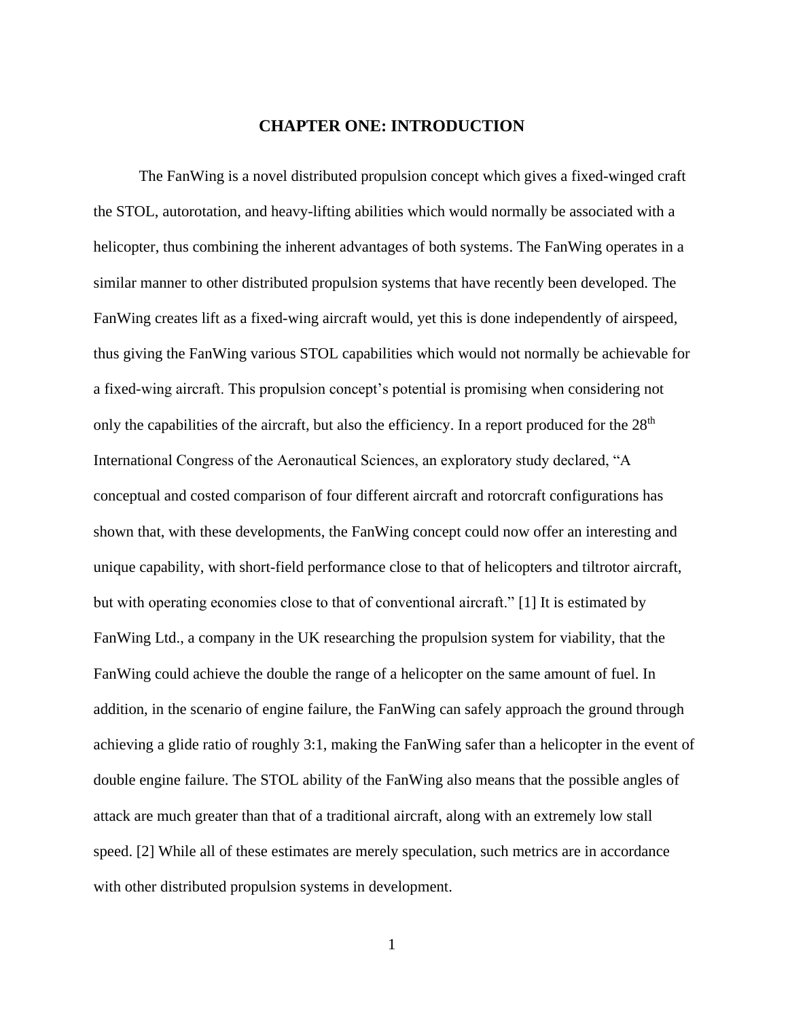# **CHAPTER ONE: INTRODUCTION**

<span id="page-7-0"></span>The FanWing is a novel distributed propulsion concept which gives a fixed-winged craft the STOL, autorotation, and heavy-lifting abilities which would normally be associated with a helicopter, thus combining the inherent advantages of both systems. The FanWing operates in a similar manner to other distributed propulsion systems that have recently been developed. The FanWing creates lift as a fixed-wing aircraft would, yet this is done independently of airspeed, thus giving the FanWing various STOL capabilities which would not normally be achievable for a fixed-wing aircraft. This propulsion concept's potential is promising when considering not only the capabilities of the aircraft, but also the efficiency. In a report produced for the  $28<sup>th</sup>$ International Congress of the Aeronautical Sciences, an exploratory study declared, "A conceptual and costed comparison of four different aircraft and rotorcraft configurations has shown that, with these developments, the FanWing concept could now offer an interesting and unique capability, with short-field performance close to that of helicopters and tiltrotor aircraft, but with operating economies close to that of conventional aircraft." [1] It is estimated by FanWing Ltd., a company in the UK researching the propulsion system for viability, that the FanWing could achieve the double the range of a helicopter on the same amount of fuel. In addition, in the scenario of engine failure, the FanWing can safely approach the ground through achieving a glide ratio of roughly 3:1, making the FanWing safer than a helicopter in the event of double engine failure. The STOL ability of the FanWing also means that the possible angles of attack are much greater than that of a traditional aircraft, along with an extremely low stall speed. [2] While all of these estimates are merely speculation, such metrics are in accordance with other distributed propulsion systems in development.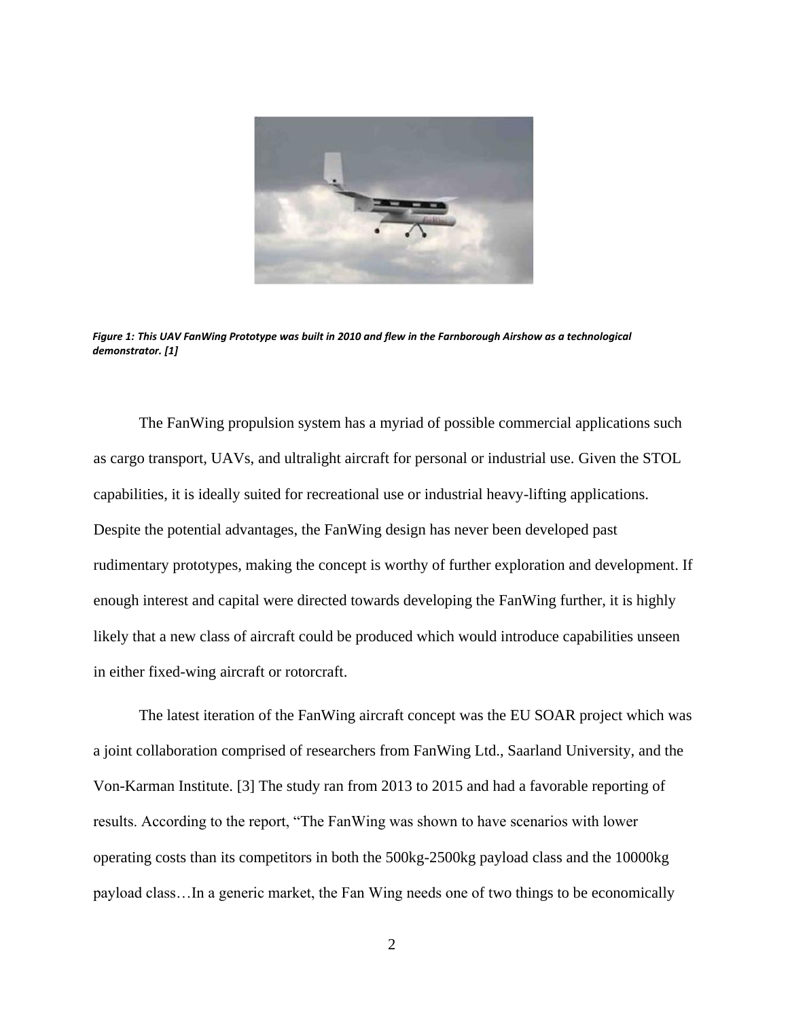

*Figure 1: This UAV FanWing Prototype was built in 2010 and flew in the Farnborough Airshow as a technological demonstrator. [1]*

<span id="page-8-0"></span>The FanWing propulsion system has a myriad of possible commercial applications such as cargo transport, UAVs, and ultralight aircraft for personal or industrial use. Given the STOL capabilities, it is ideally suited for recreational use or industrial heavy-lifting applications. Despite the potential advantages, the FanWing design has never been developed past rudimentary prototypes, making the concept is worthy of further exploration and development. If enough interest and capital were directed towards developing the FanWing further, it is highly likely that a new class of aircraft could be produced which would introduce capabilities unseen in either fixed-wing aircraft or rotorcraft.

The latest iteration of the FanWing aircraft concept was the EU SOAR project which was a joint collaboration comprised of researchers from FanWing Ltd., Saarland University, and the Von-Karman Institute. [3] The study ran from 2013 to 2015 and had a favorable reporting of results. According to the report, "The FanWing was shown to have scenarios with lower operating costs than its competitors in both the 500kg-2500kg payload class and the 10000kg payload class…In a generic market, the Fan Wing needs one of two things to be economically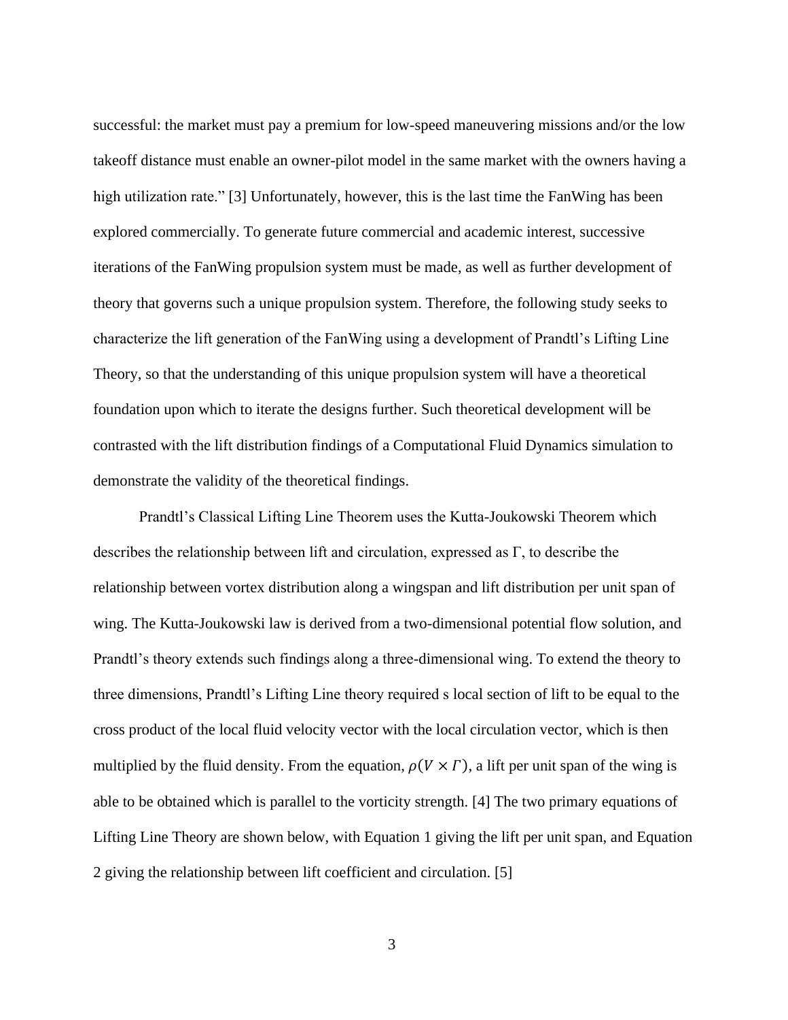successful: the market must pay a premium for low-speed maneuvering missions and/or the low takeoff distance must enable an owner-pilot model in the same market with the owners having a high utilization rate." [3] Unfortunately, however, this is the last time the FanWing has been explored commercially. To generate future commercial and academic interest, successive iterations of the FanWing propulsion system must be made, as well as further development of theory that governs such a unique propulsion system. Therefore, the following study seeks to characterize the lift generation of the FanWing using a development of Prandtl's Lifting Line Theory, so that the understanding of this unique propulsion system will have a theoretical foundation upon which to iterate the designs further. Such theoretical development will be contrasted with the lift distribution findings of a Computational Fluid Dynamics simulation to demonstrate the validity of the theoretical findings.

Prandtl's Classical Lifting Line Theorem uses the Kutta-Joukowski Theorem which describes the relationship between lift and circulation, expressed as Γ, to describe the relationship between vortex distribution along a wingspan and lift distribution per unit span of wing. The Kutta-Joukowski law is derived from a two-dimensional potential flow solution, and Prandtl's theory extends such findings along a three-dimensional wing. To extend the theory to three dimensions, Prandtl's Lifting Line theory required s local section of lift to be equal to the cross product of the local fluid velocity vector with the local circulation vector, which is then multiplied by the fluid density. From the equation,  $\rho(V \times \Gamma)$ , a lift per unit span of the wing is able to be obtained which is parallel to the vorticity strength. [4] The two primary equations of Lifting Line Theory are shown below, with Equation 1 giving the lift per unit span, and Equation 2 giving the relationship between lift coefficient and circulation. [5]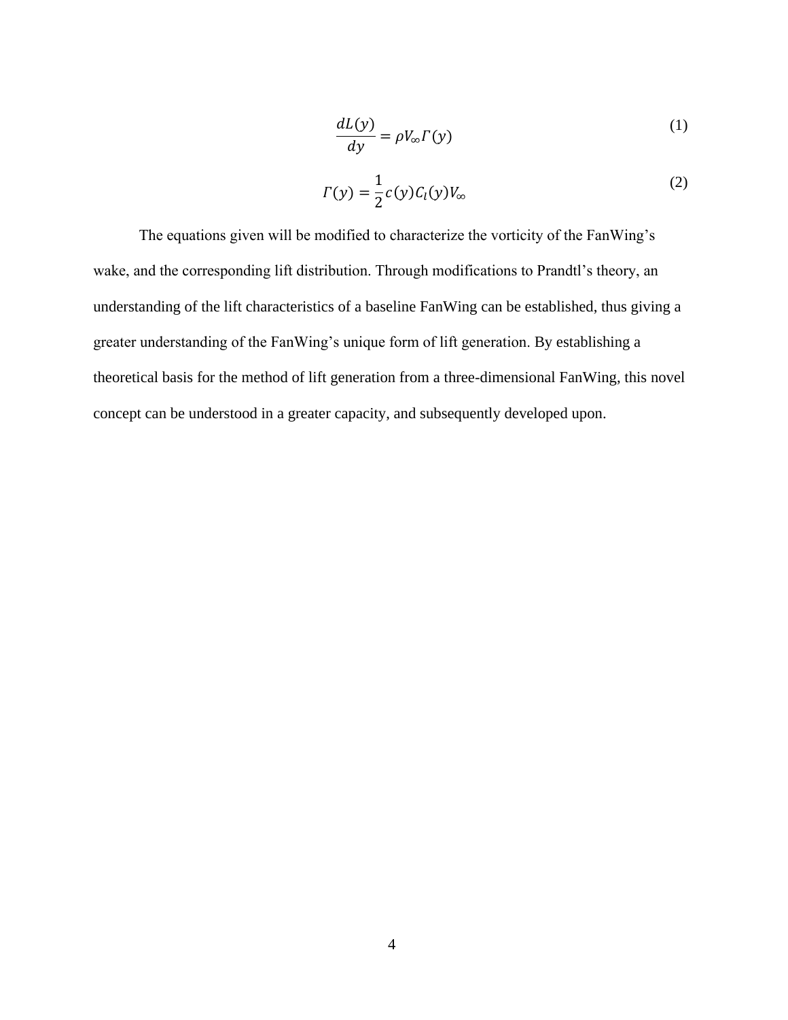$$
\frac{dL(y)}{dy} = \rho V_{\infty} \Gamma(y) \tag{1}
$$

$$
\Gamma(y) = \frac{1}{2}c(y)C_l(y)V_{\infty}
$$
 (2)

The equations given will be modified to characterize the vorticity of the FanWing's wake, and the corresponding lift distribution. Through modifications to Prandtl's theory, an understanding of the lift characteristics of a baseline FanWing can be established, thus giving a greater understanding of the FanWing's unique form of lift generation. By establishing a theoretical basis for the method of lift generation from a three-dimensional FanWing, this novel concept can be understood in a greater capacity, and subsequently developed upon.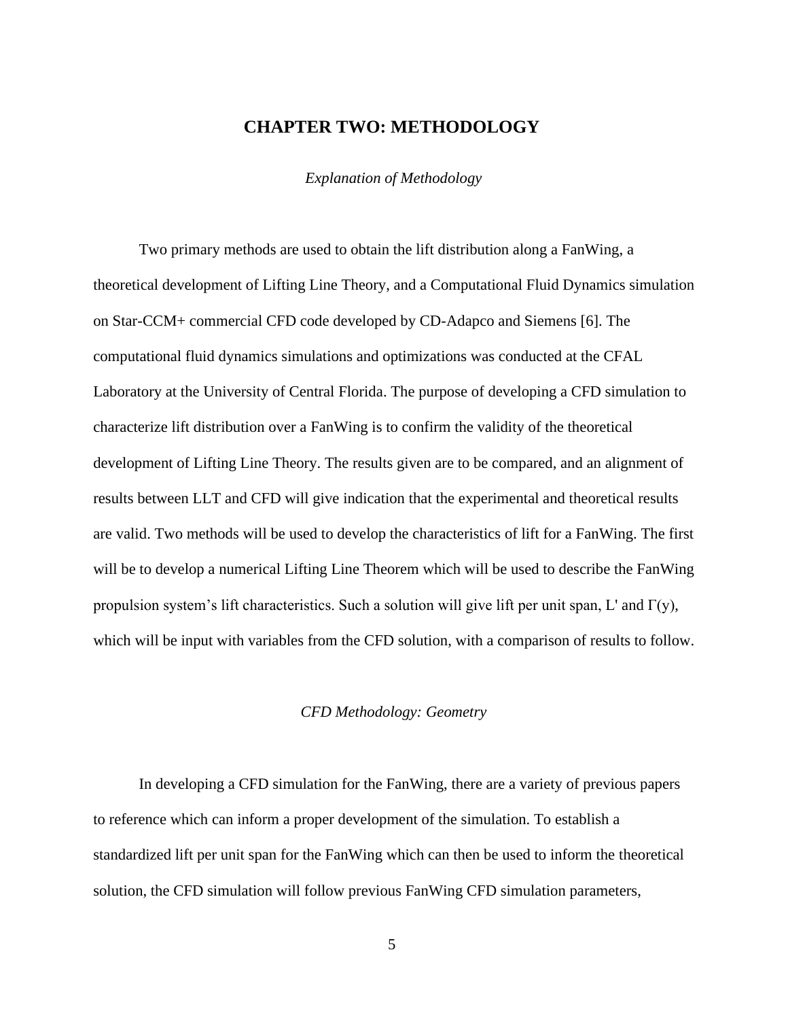### **CHAPTER TWO: METHODOLOGY**

*Explanation of Methodology*

<span id="page-11-0"></span>Two primary methods are used to obtain the lift distribution along a FanWing, a theoretical development of Lifting Line Theory, and a Computational Fluid Dynamics simulation on Star-CCM+ commercial CFD code developed by CD-Adapco and Siemens [6]. The computational fluid dynamics simulations and optimizations was conducted at the CFAL Laboratory at the University of Central Florida. The purpose of developing a CFD simulation to characterize lift distribution over a FanWing is to confirm the validity of the theoretical development of Lifting Line Theory. The results given are to be compared, and an alignment of results between LLT and CFD will give indication that the experimental and theoretical results are valid. Two methods will be used to develop the characteristics of lift for a FanWing. The first will be to develop a numerical Lifting Line Theorem which will be used to describe the FanWing propulsion system's lift characteristics. Such a solution will give lift per unit span, L' and  $\Gamma(y)$ , which will be input with variables from the CFD solution, with a comparison of results to follow.

#### *CFD Methodology: Geometry*

In developing a CFD simulation for the FanWing, there are a variety of previous papers to reference which can inform a proper development of the simulation. To establish a standardized lift per unit span for the FanWing which can then be used to inform the theoretical solution, the CFD simulation will follow previous FanWing CFD simulation parameters,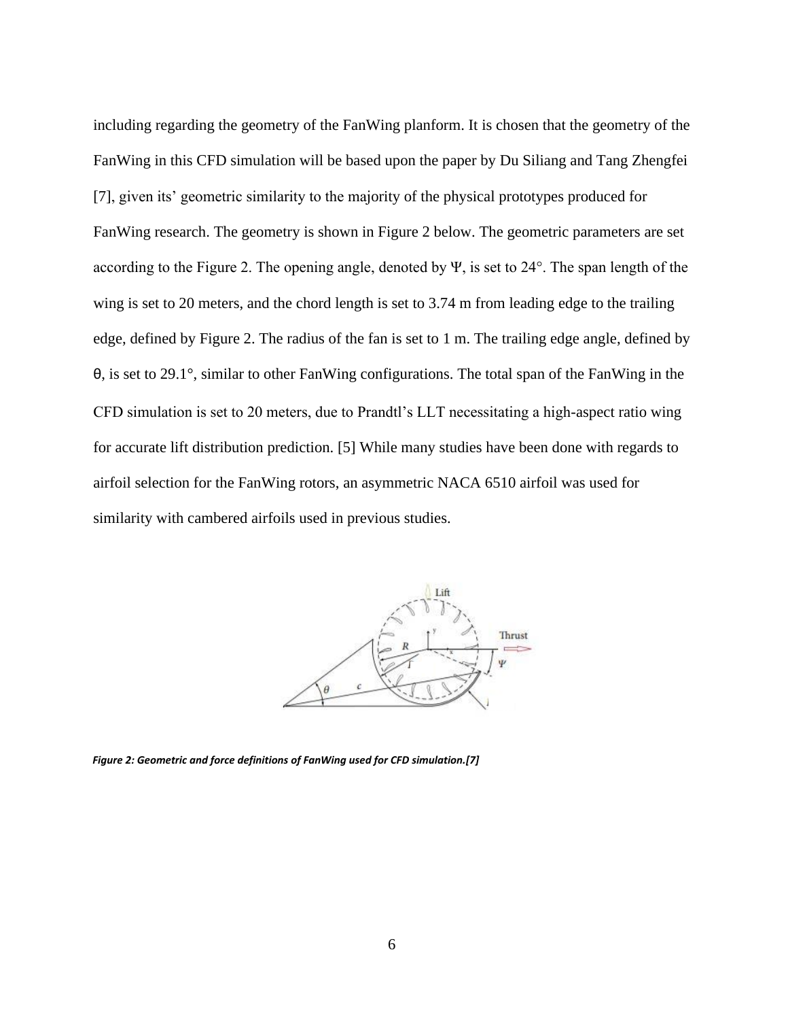including regarding the geometry of the FanWing planform. It is chosen that the geometry of the FanWing in this CFD simulation will be based upon the paper by Du Siliang and Tang Zhengfei [7], given its' geometric similarity to the majority of the physical prototypes produced for FanWing research. The geometry is shown in Figure 2 below. The geometric parameters are set according to the Figure 2. The opening angle, denoted by Ψ, is set to 24°. The span length of the wing is set to 20 meters, and the chord length is set to 3.74 m from leading edge to the trailing edge, defined by Figure 2. The radius of the fan is set to 1 m. The trailing edge angle, defined by θ, is set to 29.1°, similar to other FanWing configurations. The total span of the FanWing in the CFD simulation is set to 20 meters, due to Prandtl's LLT necessitating a high-aspect ratio wing for accurate lift distribution prediction. [5] While many studies have been done with regards to airfoil selection for the FanWing rotors, an asymmetric NACA 6510 airfoil was used for similarity with cambered airfoils used in previous studies.



<span id="page-12-0"></span>*Figure 2: Geometric and force definitions of FanWing used for CFD simulation.[7]*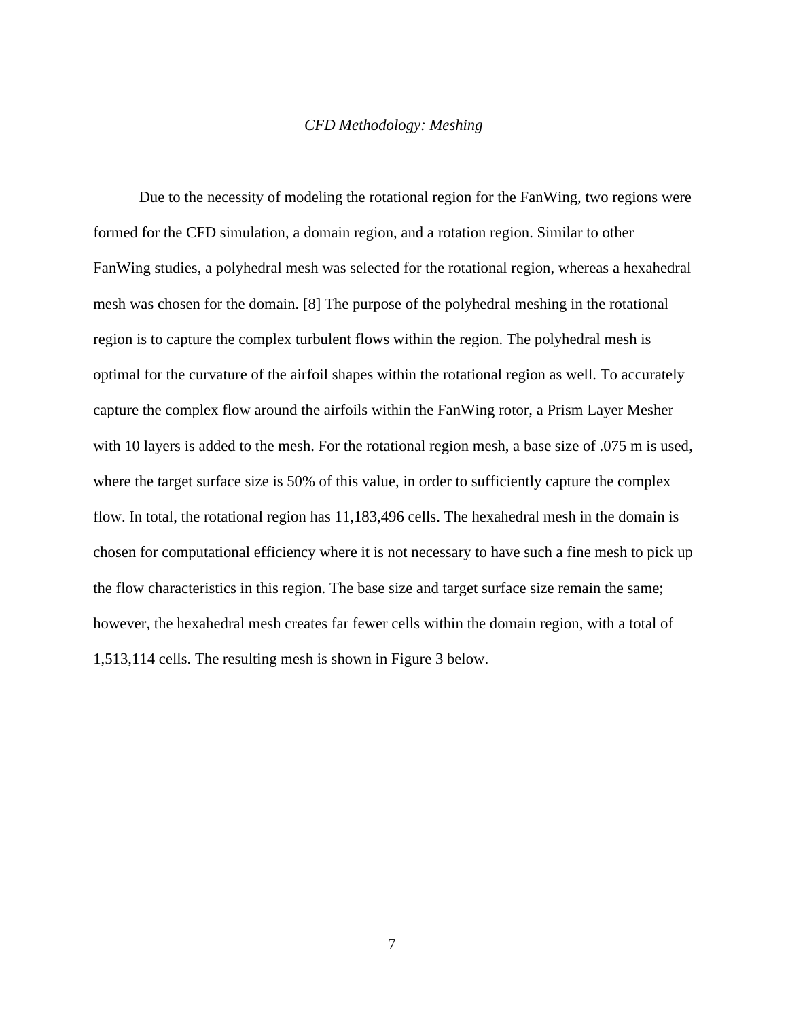#### *CFD Methodology: Meshing*

Due to the necessity of modeling the rotational region for the FanWing, two regions were formed for the CFD simulation, a domain region, and a rotation region. Similar to other FanWing studies, a polyhedral mesh was selected for the rotational region, whereas a hexahedral mesh was chosen for the domain. [8] The purpose of the polyhedral meshing in the rotational region is to capture the complex turbulent flows within the region. The polyhedral mesh is optimal for the curvature of the airfoil shapes within the rotational region as well. To accurately capture the complex flow around the airfoils within the FanWing rotor, a Prism Layer Mesher with 10 layers is added to the mesh. For the rotational region mesh, a base size of .075 m is used, where the target surface size is 50% of this value, in order to sufficiently capture the complex flow. In total, the rotational region has 11,183,496 cells. The hexahedral mesh in the domain is chosen for computational efficiency where it is not necessary to have such a fine mesh to pick up the flow characteristics in this region. The base size and target surface size remain the same; however, the hexahedral mesh creates far fewer cells within the domain region, with a total of 1,513,114 cells. The resulting mesh is shown in Figure 3 below.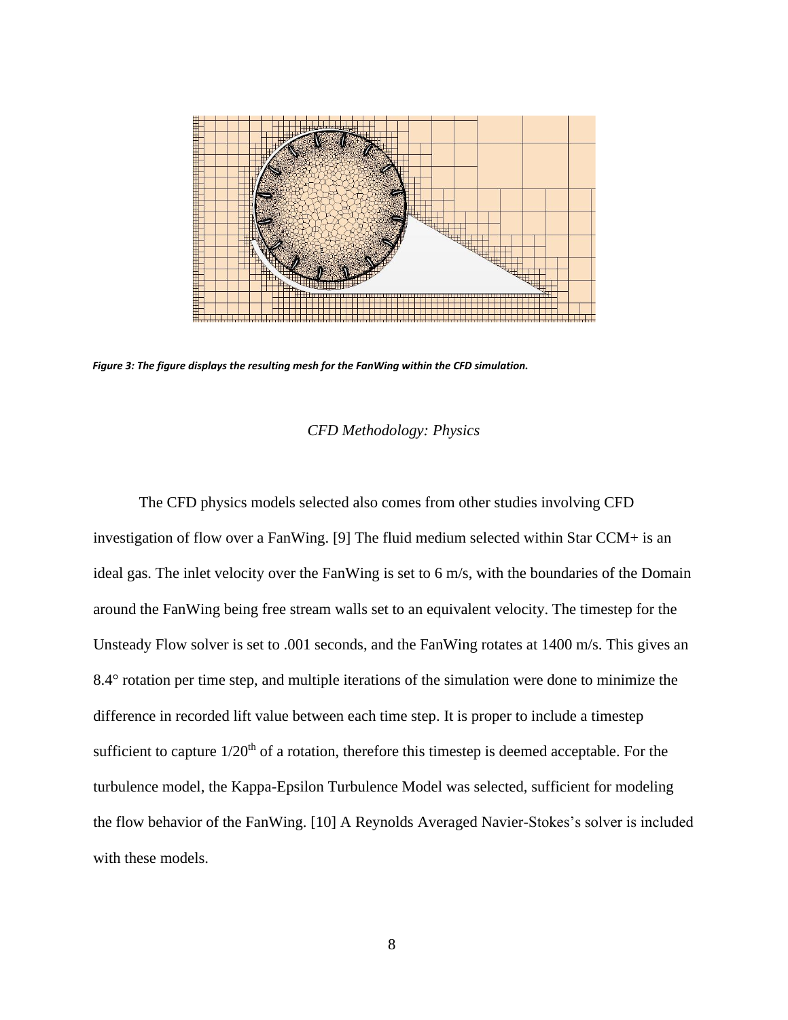

<span id="page-14-0"></span>*Figure 3: The figure displays the resulting mesh for the FanWing within the CFD simulation.* 

#### *CFD Methodology: Physics*

The CFD physics models selected also comes from other studies involving CFD investigation of flow over a FanWing. [9] The fluid medium selected within Star CCM+ is an ideal gas. The inlet velocity over the FanWing is set to 6 m/s, with the boundaries of the Domain around the FanWing being free stream walls set to an equivalent velocity. The timestep for the Unsteady Flow solver is set to .001 seconds, and the FanWing rotates at 1400 m/s. This gives an 8.4° rotation per time step, and multiple iterations of the simulation were done to minimize the difference in recorded lift value between each time step. It is proper to include a timestep sufficient to capture  $1/20<sup>th</sup>$  of a rotation, therefore this timestep is deemed acceptable. For the turbulence model, the Kappa-Epsilon Turbulence Model was selected, sufficient for modeling the flow behavior of the FanWing. [10] A Reynolds Averaged Navier-Stokes's solver is included with these models.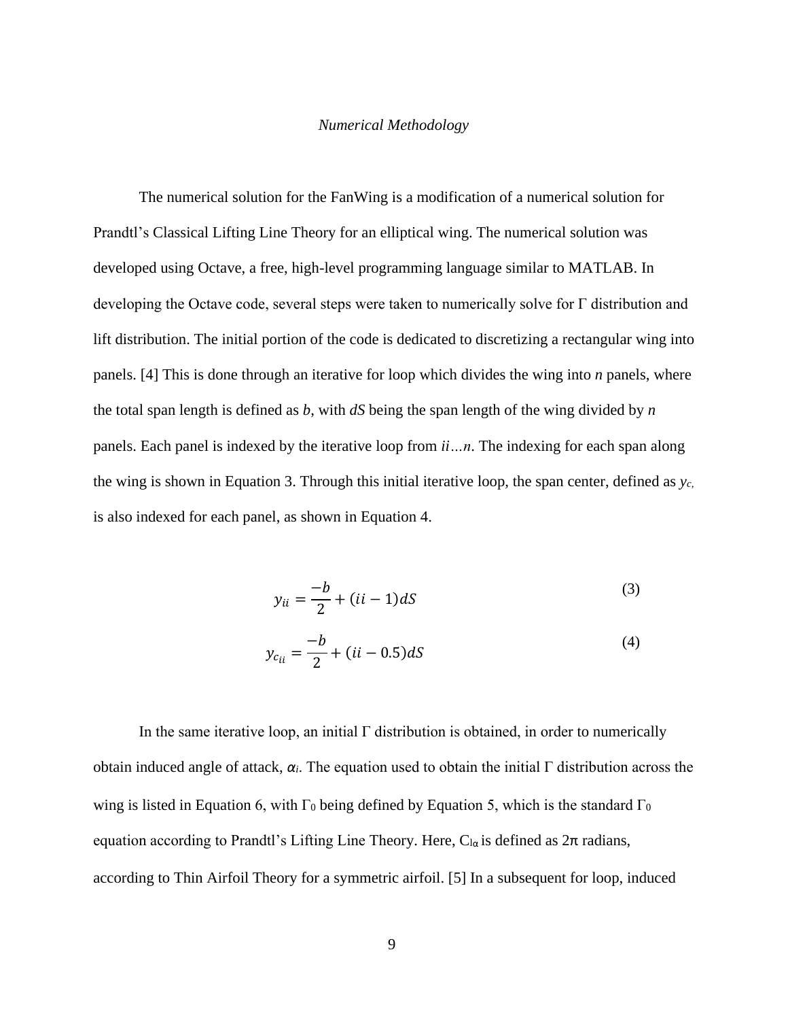#### *Numerical Methodology*

The numerical solution for the FanWing is a modification of a numerical solution for Prandtl's Classical Lifting Line Theory for an elliptical wing. The numerical solution was developed using Octave, a free, high-level programming language similar to MATLAB. In developing the Octave code, several steps were taken to numerically solve for Γ distribution and lift distribution. The initial portion of the code is dedicated to discretizing a rectangular wing into panels. [4] This is done through an iterative for loop which divides the wing into *n* panels, where the total span length is defined as *b*, with *dS* being the span length of the wing divided by *n* panels. Each panel is indexed by the iterative loop from *ii…n*. The indexing for each span along the wing is shown in Equation 3. Through this initial iterative loop, the span center, defined as *yc,* is also indexed for each panel, as shown in Equation 4.

$$
y_{ii} = \frac{-b}{2} + (ii - 1)dS\tag{3}
$$

$$
y_{c_{ii}} = \frac{-b}{2} + (ii - 0.5)dS
$$
 (4)

In the same iterative loop, an initial  $\Gamma$  distribution is obtained, in order to numerically obtain induced angle of attack, *αi*. The equation used to obtain the initial Γ distribution across the wing is listed in Equation 6, with  $\Gamma_0$  being defined by Equation 5, which is the standard  $\Gamma_0$ equation according to Prandtl's Lifting Line Theory. Here,  $C_{1\alpha}$  is defined as  $2\pi$  radians, according to Thin Airfoil Theory for a symmetric airfoil. [5] In a subsequent for loop, induced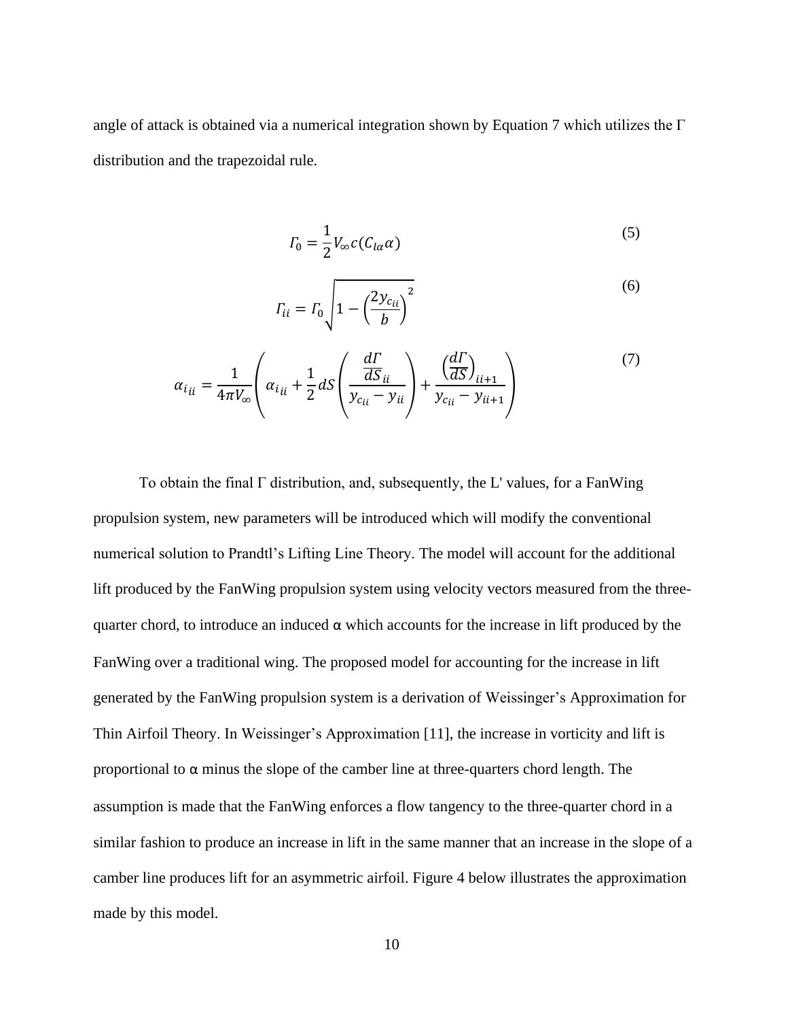angle of attack is obtained via a numerical integration shown by Equation 7 which utilizes the  $\Gamma$ distribution and the trapezoidal rule.

$$
\Gamma_0 = \frac{1}{2} V_{\infty} c(C_{l\alpha} \alpha) \tag{5}
$$

$$
T_{ii} = T_0 \sqrt{1 - \left(\frac{2y_{c_{ii}}}{b}\right)^2}
$$
 (6)

$$
\alpha_{ii} = \frac{1}{4\pi V_{\infty}} \left( \alpha_{ii} + \frac{1}{2} dS \left( \frac{\frac{d\Gamma}{dS_{ii}}}{y_{c_{ii}} - y_{ii}} \right) + \frac{\left( \frac{d\Gamma}{dS} \right)_{ii+1}}{y_{c_{ii}} - y_{ii+1}} \right)
$$
(7)

To obtain the final Γ distribution, and, subsequently, the L' values, for a FanWing propulsion system, new parameters will be introduced which will modify the conventional numerical solution to Prandtl's Lifting Line Theory. The model will account for the additional lift produced by the FanWing propulsion system using velocity vectors measured from the threequarter chord, to introduce an induced  $\alpha$  which accounts for the increase in lift produced by the FanWing over a traditional wing. The proposed model for accounting for the increase in lift generated by the FanWing propulsion system is a derivation of Weissinger's Approximation for Thin Airfoil Theory. In Weissinger's Approximation [11], the increase in vorticity and lift is proportional to  $\alpha$  minus the slope of the camber line at three-quarters chord length. The assumption is made that the FanWing enforces a flow tangency to the three-quarter chord in a similar fashion to produce an increase in lift in the same manner that an increase in the slope of a camber line produces lift for an asymmetric airfoil. Figure 4 below illustrates the approximation made by this model.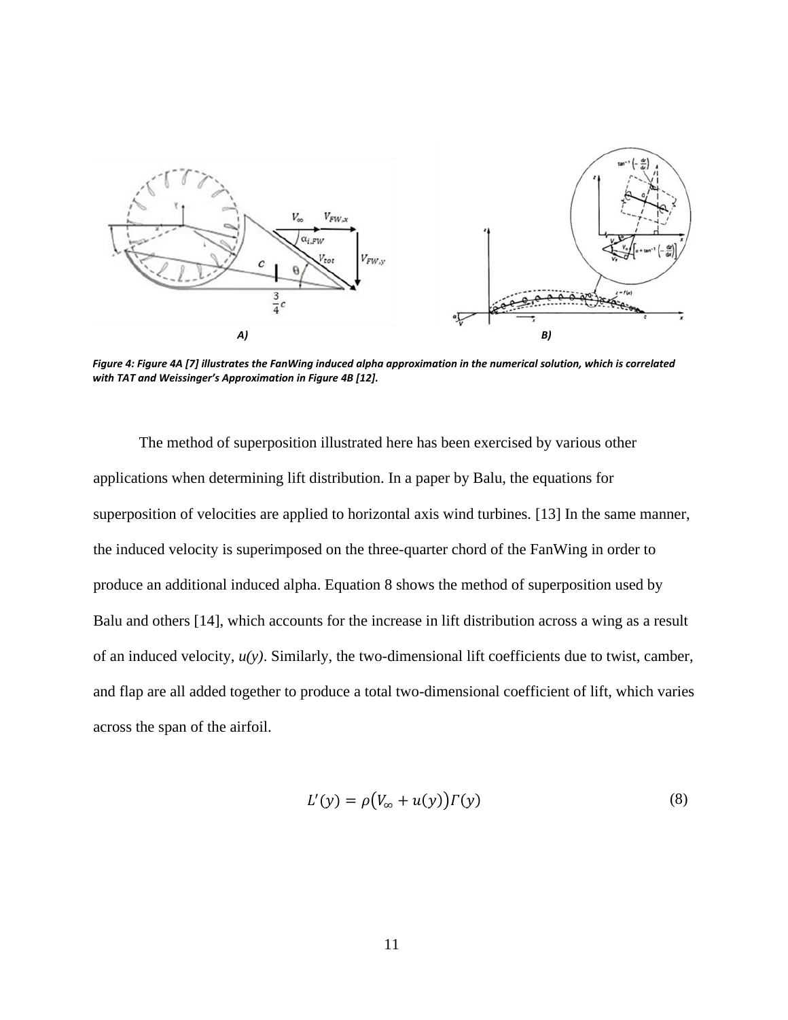

<span id="page-17-0"></span>*Figure 4: Figure 4A [7] illustrates the FanWing induced alpha approximation in the numerical solution, which is correlated with TAT and Weissinger's Approximation in Figure 4B [12].*

The method of superposition illustrated here has been exercised by various other applications when determining lift distribution. In a paper by Balu, the equations for superposition of velocities are applied to horizontal axis wind turbines. [13] In the same manner, the induced velocity is superimposed on the three-quarter chord of the FanWing in order to produce an additional induced alpha. Equation 8 shows the method of superposition used by Balu and others [14], which accounts for the increase in lift distribution across a wing as a result of an induced velocity, *u(y)*. Similarly, the two-dimensional lift coefficients due to twist, camber, and flap are all added together to produce a total two-dimensional coefficient of lift, which varies across the span of the airfoil.

$$
L'(y) = \rho \big( V_{\infty} + u(y) \big) \Gamma(y) \tag{8}
$$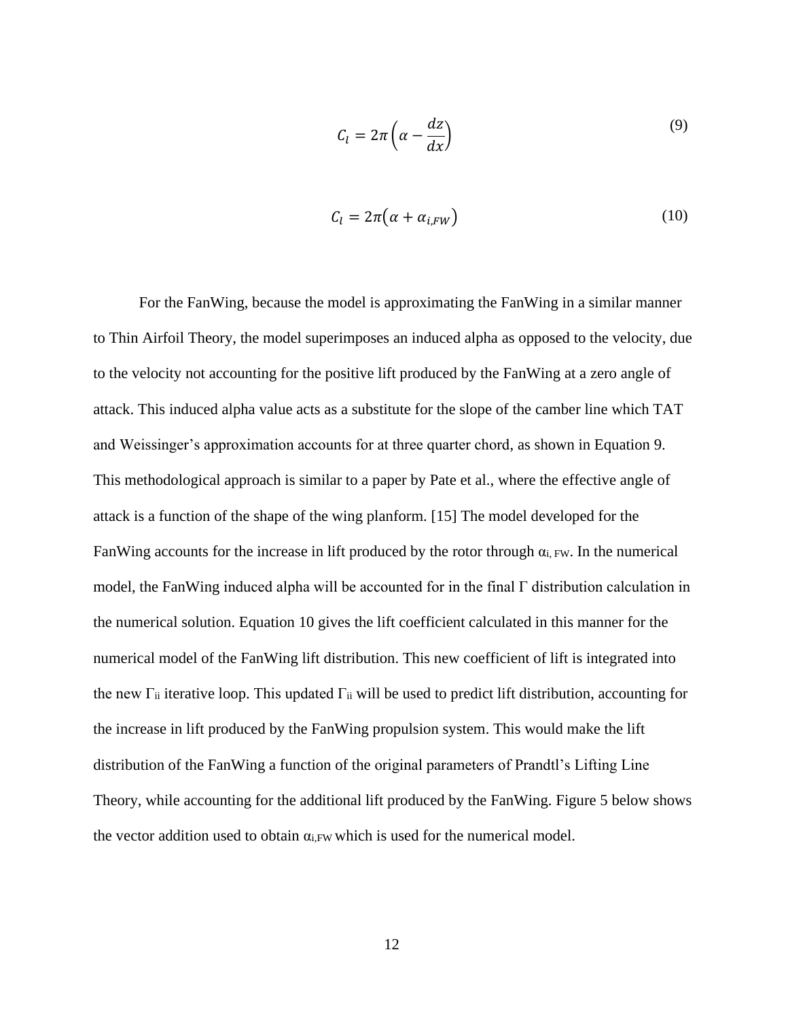$$
C_l = 2\pi \left( \alpha - \frac{dz}{dx} \right) \tag{9}
$$

$$
C_l = 2\pi \left( \alpha + \alpha_{i,FW} \right) \tag{10}
$$

For the FanWing, because the model is approximating the FanWing in a similar manner to Thin Airfoil Theory, the model superimposes an induced alpha as opposed to the velocity, due to the velocity not accounting for the positive lift produced by the FanWing at a zero angle of attack. This induced alpha value acts as a substitute for the slope of the camber line which TAT and Weissinger's approximation accounts for at three quarter chord, as shown in Equation 9. This methodological approach is similar to a paper by Pate et al., where the effective angle of attack is a function of the shape of the wing planform. [15] The model developed for the FanWing accounts for the increase in lift produced by the rotor through  $\alpha_{i}$ , Fw. In the numerical model, the FanWing induced alpha will be accounted for in the final Γ distribution calculation in the numerical solution. Equation 10 gives the lift coefficient calculated in this manner for the numerical model of the FanWing lift distribution. This new coefficient of lift is integrated into the new  $\Gamma$ <sub>ii</sub> iterative loop. This updated  $\Gamma$ <sub>ii</sub> will be used to predict lift distribution, accounting for the increase in lift produced by the FanWing propulsion system. This would make the lift distribution of the FanWing a function of the original parameters of Prandtl's Lifting Line Theory, while accounting for the additional lift produced by the FanWing. Figure 5 below shows the vector addition used to obtain  $\alpha_i$ <sub>FW</sub> which is used for the numerical model.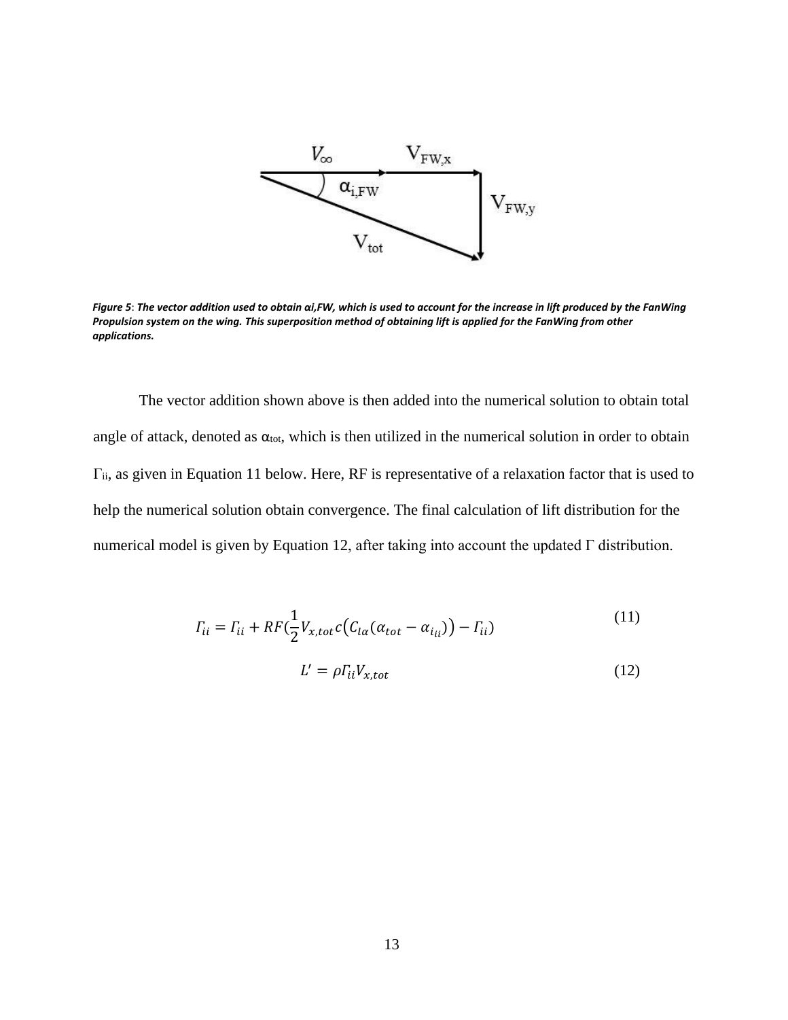

<span id="page-19-0"></span>*Figure 5*: *The vector addition used to obtain αi,FW, which is used to account for the increase in lift produced by the FanWing Propulsion system on the wing. This superposition method of obtaining lift is applied for the FanWing from other applications.*

The vector addition shown above is then added into the numerical solution to obtain total angle of attack, denoted as  $\alpha_{\text{tot}}$ , which is then utilized in the numerical solution in order to obtain Γii, as given in Equation 11 below. Here, RF is representative of a relaxation factor that is used to help the numerical solution obtain convergence. The final calculation of lift distribution for the numerical model is given by Equation 12, after taking into account the updated Γ distribution.

$$
T_{ii} = \Gamma_{ii} + RF\left(\frac{1}{2}V_{x,tot}c(C_{la}(\alpha_{tot} - \alpha_{i_{ii}})) - \Gamma_{ii}\right)
$$
\n
$$
L' = \rho \Gamma_{ii} V_{x,tot}
$$
\n(12)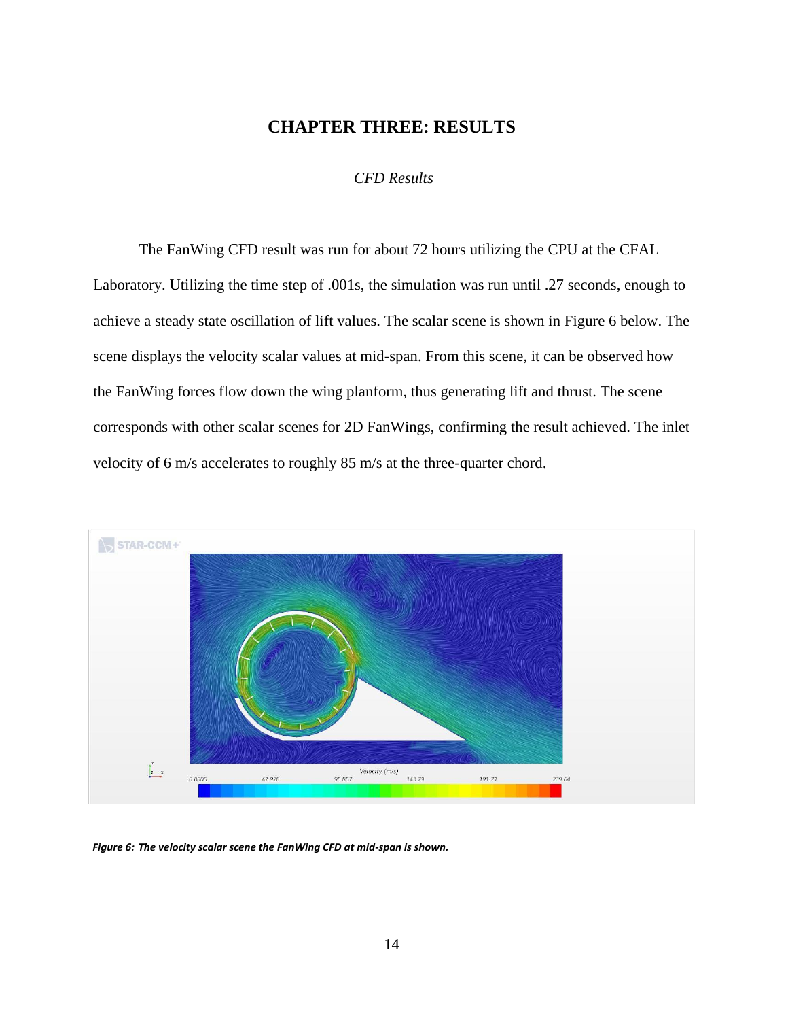# **CHAPTER THREE: RESULTS**

# *CFD Results*

<span id="page-20-0"></span>The FanWing CFD result was run for about 72 hours utilizing the CPU at the CFAL Laboratory. Utilizing the time step of .001s, the simulation was run until .27 seconds, enough to achieve a steady state oscillation of lift values. The scalar scene is shown in Figure 6 below. The scene displays the velocity scalar values at mid-span. From this scene, it can be observed how the FanWing forces flow down the wing planform, thus generating lift and thrust. The scene corresponds with other scalar scenes for 2D FanWings, confirming the result achieved. The inlet velocity of 6 m/s accelerates to roughly 85 m/s at the three-quarter chord.



<span id="page-20-1"></span>*Figure 6: The velocity scalar scene the FanWing CFD at mid-span is shown.*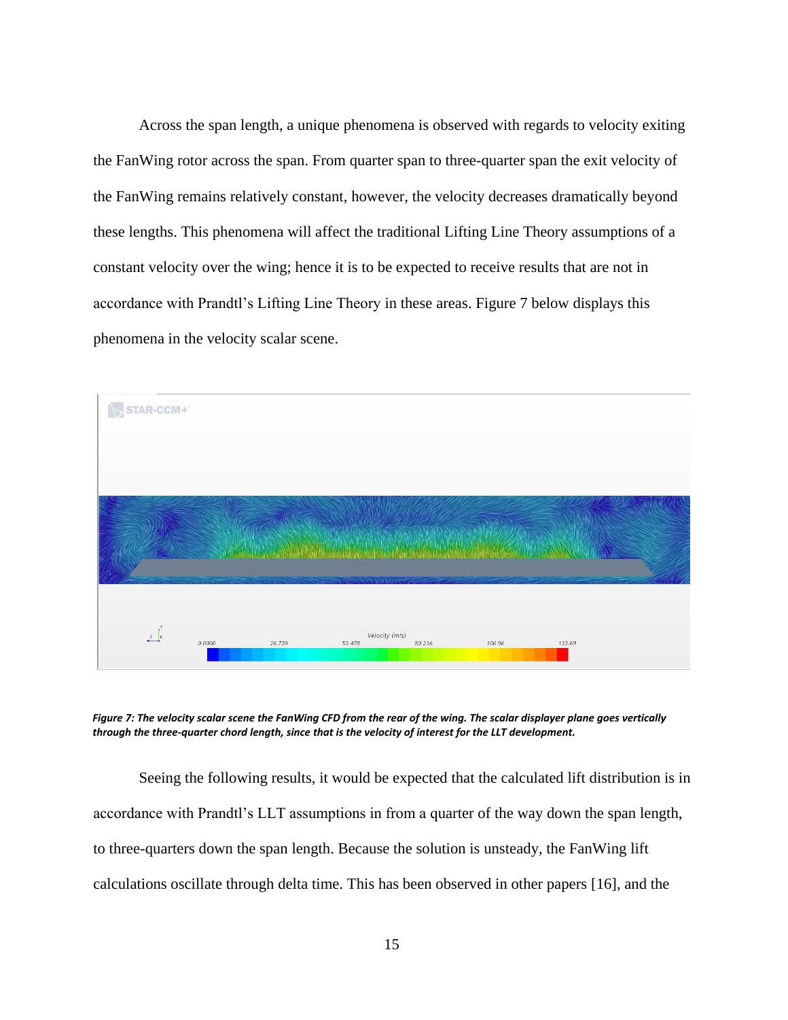Across the span length, a unique phenomena is observed with regards to velocity exiting the FanWing rotor across the span. From quarter span to three-quarter span the exit velocity of the FanWing remains relatively constant, however, the velocity decreases dramatically beyond these lengths. This phenomena will affect the traditional Lifting Line Theory assumptions of a constant velocity over the wing; hence it is to be expected to receive results that are not in accordance with Prandtl's Lifting Line Theory in these areas. Figure 7 below displays this phenomena in the velocity scalar scene.



<span id="page-21-0"></span>*Figure 7: The velocity scalar scene the FanWing CFD from the rear of the wing. The scalar displayer plane goes vertically through the three-quarter chord length, since that is the velocity of interest for the LLT development.*

Seeing the following results, it would be expected that the calculated lift distribution is in accordance with Prandtl's LLT assumptions in from a quarter of the way down the span length, to three-quarters down the span length. Because the solution is unsteady, the FanWing lift calculations oscillate through delta time. This has been observed in other papers [16], and the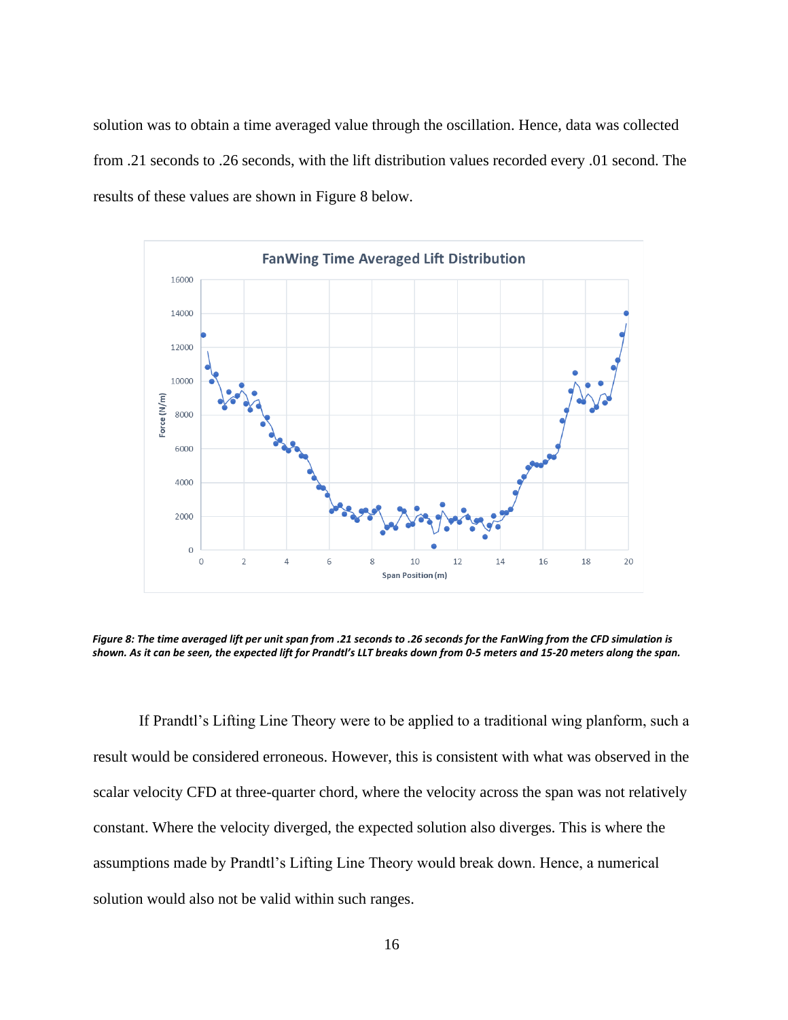solution was to obtain a time averaged value through the oscillation. Hence, data was collected from .21 seconds to .26 seconds, with the lift distribution values recorded every .01 second. The results of these values are shown in Figure 8 below.



<span id="page-22-0"></span>*Figure 8: The time averaged lift per unit span from .21 seconds to .26 seconds for the FanWing from the CFD simulation is shown. As it can be seen, the expected lift for Prandtl's LLT breaks down from 0-5 meters and 15-20 meters along the span.*

If Prandtl's Lifting Line Theory were to be applied to a traditional wing planform, such a result would be considered erroneous. However, this is consistent with what was observed in the scalar velocity CFD at three-quarter chord, where the velocity across the span was not relatively constant. Where the velocity diverged, the expected solution also diverges. This is where the assumptions made by Prandtl's Lifting Line Theory would break down. Hence, a numerical solution would also not be valid within such ranges.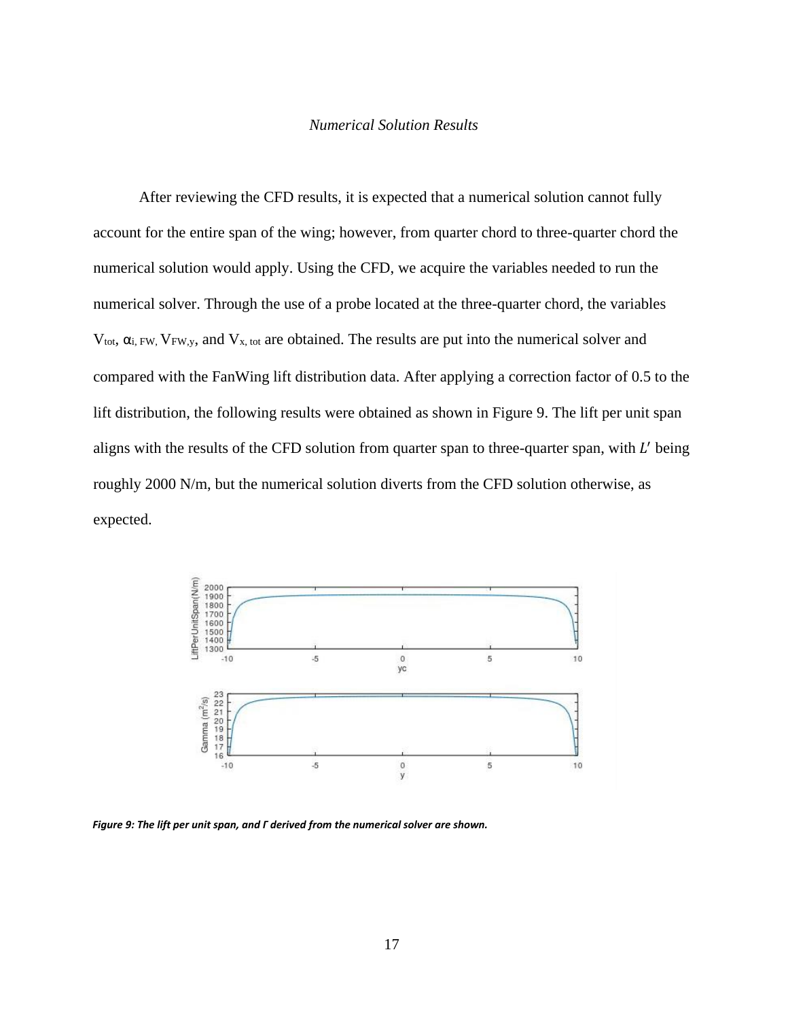#### *Numerical Solution Results*

After reviewing the CFD results, it is expected that a numerical solution cannot fully account for the entire span of the wing; however, from quarter chord to three-quarter chord the numerical solution would apply. Using the CFD, we acquire the variables needed to run the numerical solver. Through the use of a probe located at the three-quarter chord, the variables  $V_{\text{tot}}$ ,  $\alpha_{i,FW}$ ,  $V_{FW,y}$ , and  $V_{x, tot}$  are obtained. The results are put into the numerical solver and compared with the FanWing lift distribution data. After applying a correction factor of 0.5 to the lift distribution, the following results were obtained as shown in Figure 9. The lift per unit span aligns with the results of the CFD solution from quarter span to three-quarter span, with  $L'$  being roughly 2000 N/m, but the numerical solution diverts from the CFD solution otherwise, as expected.



<span id="page-23-0"></span>*Figure 9: The lift per unit span, and Γ derived from the numerical solver are shown.*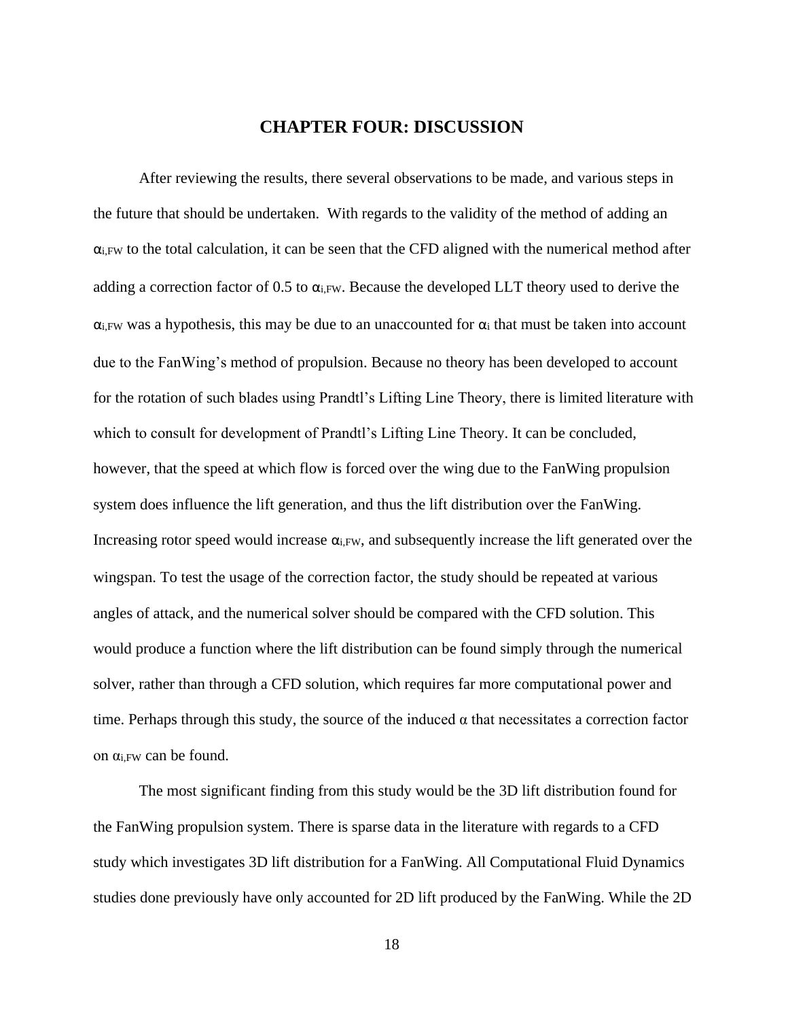# **CHAPTER FOUR: DISCUSSION**

<span id="page-24-0"></span>After reviewing the results, there several observations to be made, and various steps in the future that should be undertaken. With regards to the validity of the method of adding an  $\alpha_{i,FW}$  to the total calculation, it can be seen that the CFD aligned with the numerical method after adding a correction factor of 0.5 to  $\alpha_{i,FW}$ . Because the developed LLT theory used to derive the  $\alpha_{i}$ FW was a hypothesis, this may be due to an unaccounted for  $\alpha_{i}$  that must be taken into account due to the FanWing's method of propulsion. Because no theory has been developed to account for the rotation of such blades using Prandtl's Lifting Line Theory, there is limited literature with which to consult for development of Prandtl's Lifting Line Theory. It can be concluded, however, that the speed at which flow is forced over the wing due to the FanWing propulsion system does influence the lift generation, and thus the lift distribution over the FanWing. Increasing rotor speed would increase  $\alpha_{i,FW}$ , and subsequently increase the lift generated over the wingspan. To test the usage of the correction factor, the study should be repeated at various angles of attack, and the numerical solver should be compared with the CFD solution. This would produce a function where the lift distribution can be found simply through the numerical solver, rather than through a CFD solution, which requires far more computational power and time. Perhaps through this study, the source of the induced  $\alpha$  that necessitates a correction factor on αi,FW can be found.

The most significant finding from this study would be the 3D lift distribution found for the FanWing propulsion system. There is sparse data in the literature with regards to a CFD study which investigates 3D lift distribution for a FanWing. All Computational Fluid Dynamics studies done previously have only accounted for 2D lift produced by the FanWing. While the 2D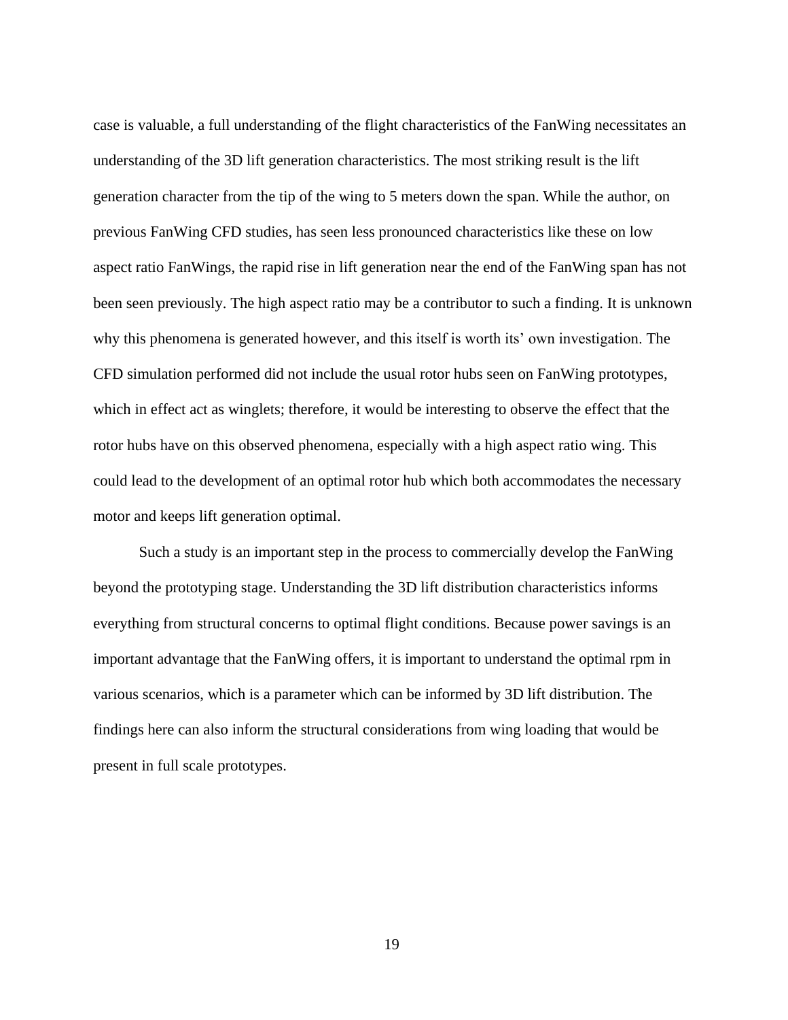case is valuable, a full understanding of the flight characteristics of the FanWing necessitates an understanding of the 3D lift generation characteristics. The most striking result is the lift generation character from the tip of the wing to 5 meters down the span. While the author, on previous FanWing CFD studies, has seen less pronounced characteristics like these on low aspect ratio FanWings, the rapid rise in lift generation near the end of the FanWing span has not been seen previously. The high aspect ratio may be a contributor to such a finding. It is unknown why this phenomena is generated however, and this itself is worth its' own investigation. The CFD simulation performed did not include the usual rotor hubs seen on FanWing prototypes, which in effect act as winglets; therefore, it would be interesting to observe the effect that the rotor hubs have on this observed phenomena, especially with a high aspect ratio wing. This could lead to the development of an optimal rotor hub which both accommodates the necessary motor and keeps lift generation optimal.

Such a study is an important step in the process to commercially develop the FanWing beyond the prototyping stage. Understanding the 3D lift distribution characteristics informs everything from structural concerns to optimal flight conditions. Because power savings is an important advantage that the FanWing offers, it is important to understand the optimal rpm in various scenarios, which is a parameter which can be informed by 3D lift distribution. The findings here can also inform the structural considerations from wing loading that would be present in full scale prototypes.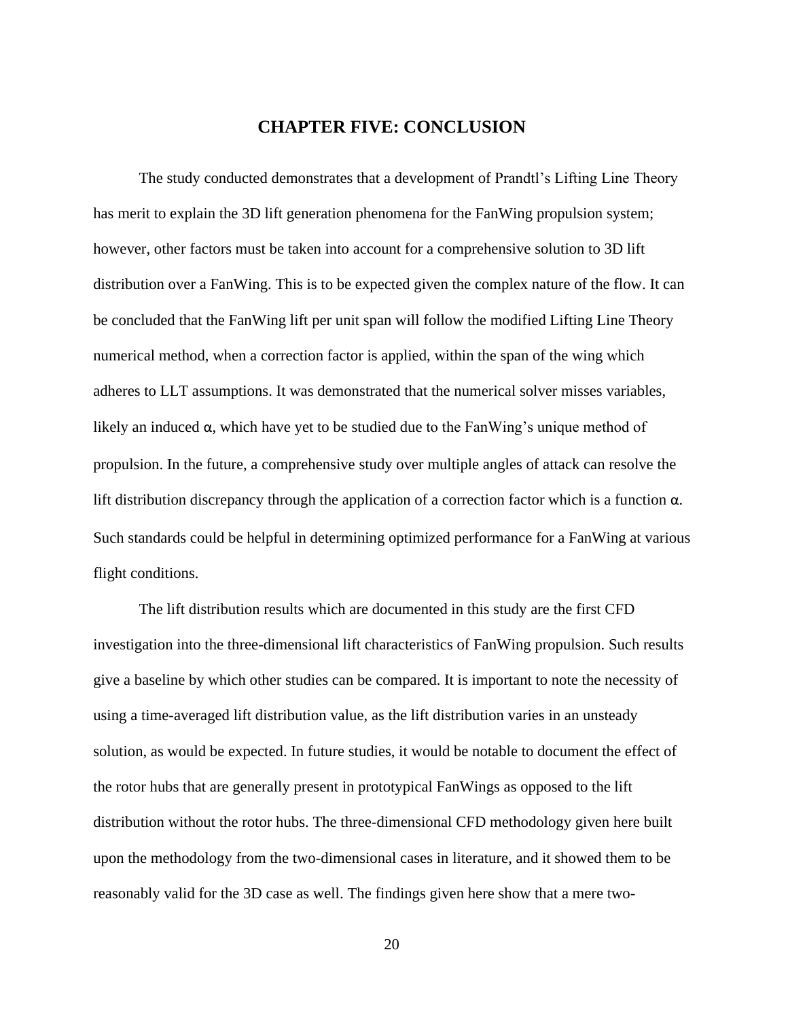# **CHAPTER FIVE: CONCLUSION**

<span id="page-26-0"></span>The study conducted demonstrates that a development of Prandtl's Lifting Line Theory has merit to explain the 3D lift generation phenomena for the FanWing propulsion system; however, other factors must be taken into account for a comprehensive solution to 3D lift distribution over a FanWing. This is to be expected given the complex nature of the flow. It can be concluded that the FanWing lift per unit span will follow the modified Lifting Line Theory numerical method, when a correction factor is applied, within the span of the wing which adheres to LLT assumptions. It was demonstrated that the numerical solver misses variables, likely an induced  $\alpha$ , which have yet to be studied due to the FanWing's unique method of propulsion. In the future, a comprehensive study over multiple angles of attack can resolve the lift distribution discrepancy through the application of a correction factor which is a function  $\alpha$ . Such standards could be helpful in determining optimized performance for a FanWing at various flight conditions.

The lift distribution results which are documented in this study are the first CFD investigation into the three-dimensional lift characteristics of FanWing propulsion. Such results give a baseline by which other studies can be compared. It is important to note the necessity of using a time-averaged lift distribution value, as the lift distribution varies in an unsteady solution, as would be expected. In future studies, it would be notable to document the effect of the rotor hubs that are generally present in prototypical FanWings as opposed to the lift distribution without the rotor hubs. The three-dimensional CFD methodology given here built upon the methodology from the two-dimensional cases in literature, and it showed them to be reasonably valid for the 3D case as well. The findings given here show that a mere two-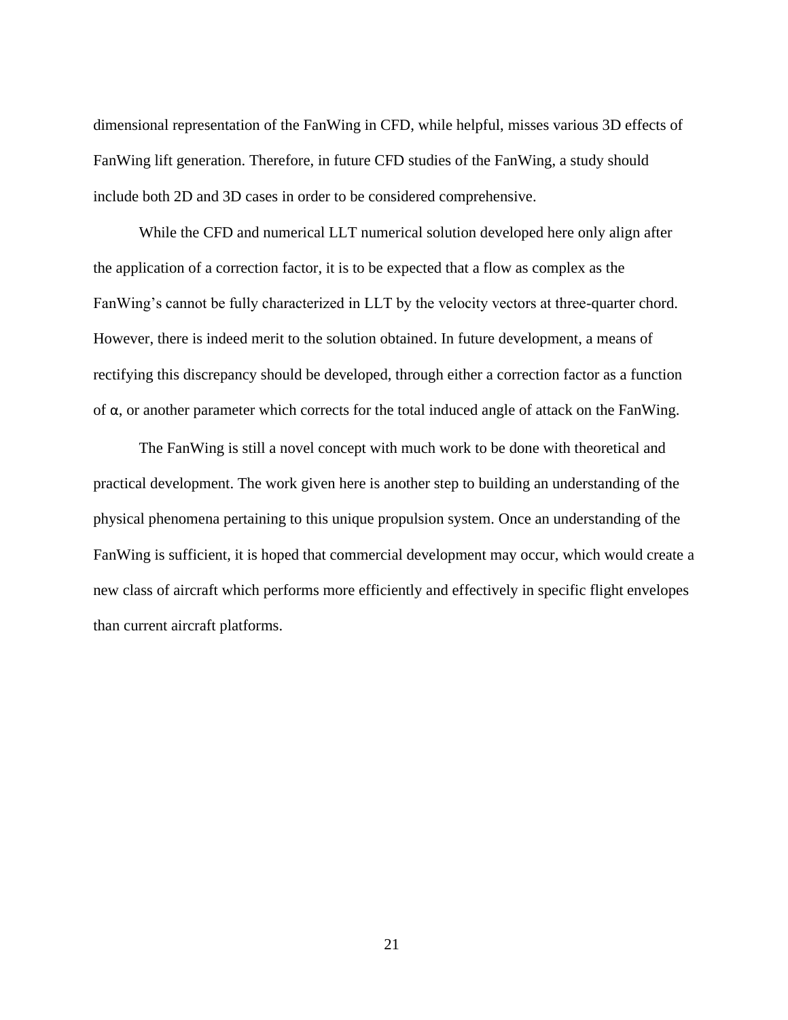dimensional representation of the FanWing in CFD, while helpful, misses various 3D effects of FanWing lift generation. Therefore, in future CFD studies of the FanWing, a study should include both 2D and 3D cases in order to be considered comprehensive.

While the CFD and numerical LLT numerical solution developed here only align after the application of a correction factor, it is to be expected that a flow as complex as the FanWing's cannot be fully characterized in LLT by the velocity vectors at three-quarter chord. However, there is indeed merit to the solution obtained. In future development, a means of rectifying this discrepancy should be developed, through either a correction factor as a function of α, or another parameter which corrects for the total induced angle of attack on the FanWing.

The FanWing is still a novel concept with much work to be done with theoretical and practical development. The work given here is another step to building an understanding of the physical phenomena pertaining to this unique propulsion system. Once an understanding of the FanWing is sufficient, it is hoped that commercial development may occur, which would create a new class of aircraft which performs more efficiently and effectively in specific flight envelopes than current aircraft platforms.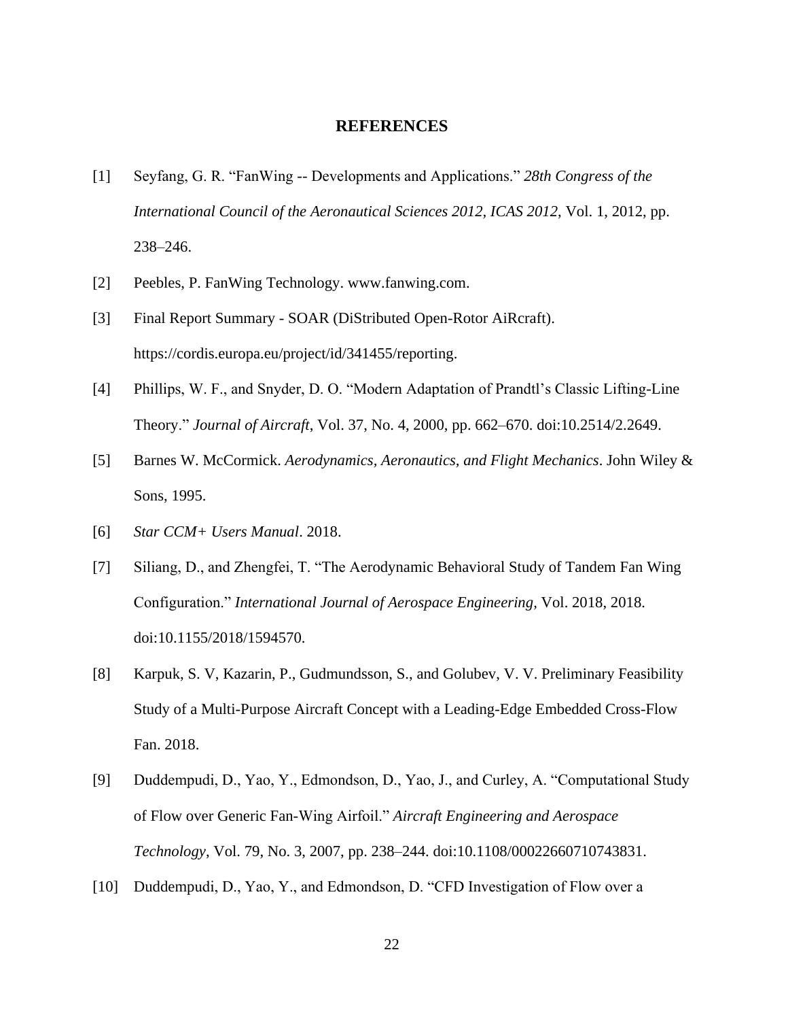#### **REFERENCES**

- <span id="page-28-0"></span>[1] Seyfang, G. R. "FanWing -- Developments and Applications." *28th Congress of the International Council of the Aeronautical Sciences 2012, ICAS 2012*, Vol. 1, 2012, pp. 238–246.
- [2] Peebles, P. FanWing Technology. www.fanwing.com.
- [3] Final Report Summary SOAR (DiStributed Open-Rotor AiRcraft). https://cordis.europa.eu/project/id/341455/reporting.
- [4] Phillips, W. F., and Snyder, D. O. "Modern Adaptation of Prandtl's Classic Lifting-Line Theory." *Journal of Aircraft*, Vol. 37, No. 4, 2000, pp. 662–670. doi:10.2514/2.2649.
- [5] Barnes W. McCormick. *Aerodynamics, Aeronautics, and Flight Mechanics*. John Wiley & Sons, 1995.
- [6] *Star CCM+ Users Manual*. 2018.
- [7] Siliang, D., and Zhengfei, T. "The Aerodynamic Behavioral Study of Tandem Fan Wing Configuration." *International Journal of Aerospace Engineering*, Vol. 2018, 2018. doi:10.1155/2018/1594570.
- [8] Karpuk, S. V, Kazarin, P., Gudmundsson, S., and Golubev, V. V. Preliminary Feasibility Study of a Multi-Purpose Aircraft Concept with a Leading-Edge Embedded Cross-Flow Fan. 2018.
- [9] Duddempudi, D., Yao, Y., Edmondson, D., Yao, J., and Curley, A. "Computational Study of Flow over Generic Fan-Wing Airfoil." *Aircraft Engineering and Aerospace Technology*, Vol. 79, No. 3, 2007, pp. 238–244. doi:10.1108/00022660710743831.
- [10] Duddempudi, D., Yao, Y., and Edmondson, D. "CFD Investigation of Flow over a